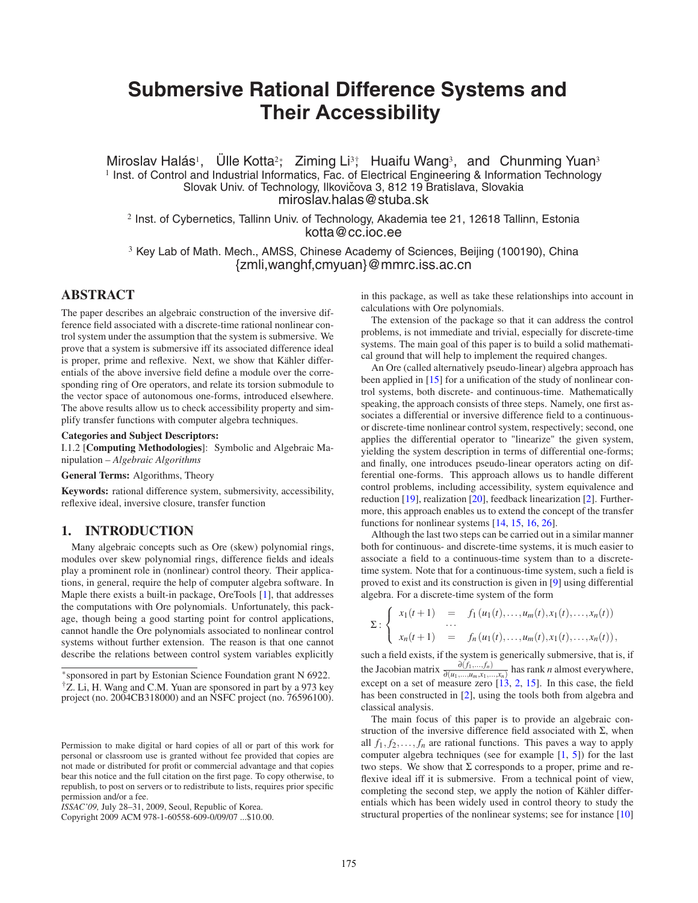# **Submersive Rational Difference Systems and Their Accessibility**

Miroslav Halás<sup>1</sup>, Ülle Kotta<sup>2</sup>; Ziming Li<sup>3</sup>; Huaifu Wang<sup>3</sup>, and Chunming Yuan<sup>3</sup>  $1$  Inst. of Control and Industrial Informatics, Fac. of Electrical Engineering & Information Technology Slovak Univ. of Technology, Ilkovičova 3, 812 19 Bratislava, Slovakia miroslav.halas@stuba.sk

<sup>2</sup> Inst. of Cybernetics, Tallinn Univ. of Technology, Akademia tee 21, 12618 Tallinn, Estonia kotta@cc.ioc.ee

<sup>3</sup> Key Lab of Math. Mech., AMSS, Chinese Academy of Sciences, Beijing (100190), China {zmli,wanghf,cmyuan}@mmrc.iss.ac.cn

# **ABSTRACT**

The paper describes an algebraic construction of the inversive difference field associated with a discrete-time rational nonlinear control system under the assumption that the system is submersive. We prove that a system is submersive iff its associated difference ideal is proper, prime and reflexive. Next, we show that Kähler differentials of the above inversive field define a module over the corresponding ring of Ore operators, and relate its torsion submodule to the vector space of autonomous one-forms, introduced elsewhere. The above results allow us to check accessibility property and simplify transfer functions with computer algebra techniques.

#### **Categories and Subject Descriptors:**

I.1.2 [**Computing Methodologies**]: Symbolic and Algebraic Manipulation – *Algebraic Algorithms*

**General Terms:** Algorithms, Theory

**Keywords:** rational difference system, submersivity, accessibility, reflexive ideal, inversive closure, transfer function

# **1. INTRODUCTION**

Many algebraic concepts such as Ore (skew) polynomial rings, modules over skew polynomial rings, difference fields and ideals play a prominent role in (nonlinear) control theory. Their applications, in general, require the help of computer algebra software. In Maple there exists a built-in package, OreTools [\[1\]](#page-7-0), that addresses the computations with Ore polynomials. Unfortunately, this package, though being a good starting point for control applications, cannot handle the Ore polynomials associated to nonlinear control systems without further extension. The reason is that one cannot describe the relations between control system variables explicitly

in this package, as well as take these relationships into account in calculations with Ore polynomials.

The extension of the package so that it can address the control problems, is not immediate and trivial, especially for discrete-time systems. The main goal of this paper is to build a solid mathematical ground that will help to implement the required changes.

An Ore (called alternatively pseudo-linear) algebra approach has been applied in [\[15\]](#page-7-1) for a unification of the study of nonlinear control systems, both discrete- and continuous-time. Mathematically speaking, the approach consists of three steps. Namely, one first associates a differential or inversive difference field to a continuousor discrete-time nonlinear control system, respectively; second, one applies the differential operator to "linearize" the given system, yielding the system description in terms of differential one-forms; and finally, one introduces pseudo-linear operators acting on differential one-forms. This approach allows us to handle different control problems, including accessibility, system equivalence and reduction [\[19\]](#page-7-2), realization [\[20\]](#page-7-3), feedback linearization [\[2\]](#page-7-4). Furthermore, this approach enables us to extend the concept of the transfer functions for nonlinear systems [\[14,](#page-7-5) [15,](#page-7-1) [16,](#page-7-6) [26\]](#page-7-7).

Although the last two steps can be carried out in a similar manner both for continuous- and discrete-time systems, it is much easier to associate a field to a continuous-time system than to a discretetime system. Note that for a continuous-time system, such a field is proved to exist and its construction is given in [\[9\]](#page-7-8) using differential algebra. For a discrete-time system of the form

$$
\Sigma: \begin{cases} x_1(t+1) & = f_1(u_1(t),...,u_m(t),x_1(t),...,x_n(t)) \\ ... \\ x_n(t+1) & = f_n(u_1(t),...,u_m(t),x_1(t),...,x_n(t)), \end{cases}
$$

such a field exists, if the system is generically submersive, that is, if the Jacobian matrix  $\frac{\partial (f_1, ..., f_n)}{\partial (u_1, ..., u_m, x_1, ..., x_n)}$  has rank *n* almost everywhere, except on a set of measure zero  $[13, 2, 15]$  $[13, 2, 15]$  $[13, 2, 15]$  $[13, 2, 15]$  $[13, 2, 15]$ . In this case, the field has been constructed in [\[2\]](#page-7-4), using the tools both from algebra and classical analysis.

The main focus of this paper is to provide an algebraic construction of the inversive difference field associated with  $\Sigma$ , when all  $f_1, f_2, \ldots, f_n$  are rational functions. This paves a way to apply computer algebra techniques (see for example [\[1,](#page-7-0) [5\]](#page-7-10)) for the last two steps. We show that  $\Sigma$  corresponds to a proper, prime and reflexive ideal iff it is submersive. From a technical point of view, completing the second step, we apply the notion of Kähler differentials which has been widely used in control theory to study the structural properties of the nonlinear systems; see for instance [\[10\]](#page-7-11)

<sup>∗</sup>sponsored in part by Estonian Science Foundation grant N 6922. †Z. Li, H. Wang and C.M. Yuan are sponsored in part by a 973 key project (no. 2004CB318000) and an NSFC project (no. 76596100).

Permission to make digital or hard copies of all or part of this work for personal or classroom use is granted without fee provided that copies are not made or distributed for profit or commercial advantage and that copies bear this notice and the full citation on the first page. To copy otherwise, to republish, to post on servers or to redistribute to lists, requires prior specific permission and/or a fee.

*ISSAC'09,* July 28–31, 2009, Seoul, Republic of Korea.

Copyright 2009 ACM 978-1-60558-609-0/09/07 ...\$10.00.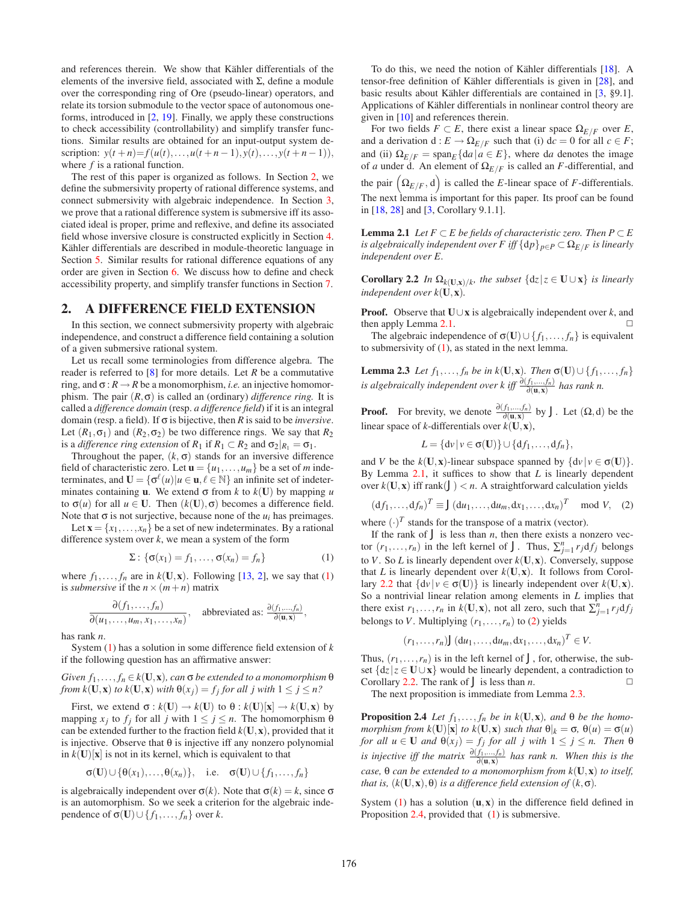and references therein. We show that Kähler differentials of the elements of the inversive field, associated with Σ, define a module over the corresponding ring of Ore (pseudo-linear) operators, and relate its torsion submodule to the vector space of autonomous oneforms, introduced in [\[2,](#page-7-4) [19\]](#page-7-2). Finally, we apply these constructions to check accessibility (controllability) and simplify transfer functions. Similar results are obtained for an input-output system description:  $y(t+n) = f(u(t),...,u(t+n-1),y(t),...,y(t+n-1)),$ where *f* is a rational function.

The rest of this paper is organized as follows. In Section [2,](#page-1-0) we define the submersivity property of rational difference systems, and connect submersivity with algebraic independence. In Section [3,](#page-2-0) we prove that a rational difference system is submersive iff its associated ideal is proper, prime and reflexive, and define its associated field whose inversive closure is constructed explicitly in Section [4.](#page-3-0) Kähler differentials are described in module-theoretic language in Section [5.](#page-4-0) Similar results for rational difference equations of any order are given in Section [6.](#page-5-0) We discuss how to define and check accessibility property, and simplify transfer functions in Section [7.](#page-6-0)

#### <span id="page-1-0"></span>**2. A DIFFERENCE FIELD EXTENSION**

In this section, we connect submersivity property with algebraic independence, and construct a difference field containing a solution of a given submersive rational system.

Let us recall some terminologies from difference algebra. The reader is referred to [\[8\]](#page-7-12) for more details. Let *R* be a commutative ring, and  $\sigma : R \to R$  be a monomorphism, *i.e.* an injective homomorphism. The pair  $(R, \sigma)$  is called an (ordinary) *difference ring*. It is called a *difference domain* (resp. *a difference field*) if it is an integral domain (resp. a field). If σ is bijective, then *R* is said to be *inversive*. Let  $(R_1, \sigma_1)$  and  $(R_2, \sigma_2)$  be two difference rings. We say that  $R_2$ is a *difference ring extension* of  $R_1$  if  $R_1 \subset R_2$  and  $\sigma_2|_{R_1} = \sigma_1$ .

Throughout the paper,  $(k, \sigma)$  stands for an inversive difference field of characteristic zero. Let  $\mathbf{u} = \{u_1, \dots, u_m\}$  be a set of *m* indeterminates, and  $\mathbf{U} = \{ \sigma^{\ell}(u) | u \in \mathbf{u}, \ell \in \mathbb{N} \}$  an infinite set of indeterminates containing **u**. We extend  $\sigma$  from *k* to  $k(\mathbf{U})$  by mapping *u* to  $\sigma(u)$  for all  $u \in U$ . Then  $(k(U), \sigma)$  becomes a difference field. Note that  $\sigma$  is not surjective, because none of the  $u_i$  has preimages.

Let  $\mathbf{x} = \{x_1, \ldots, x_n\}$  be a set of new indeterminates. By a rational difference system over *k*, we mean a system of the form

$$
\Sigma: \{\sigma(x_1) = f_1, \dots, \sigma(x_n) = f_n\}
$$
 (1)

<span id="page-1-1"></span>where  $f_1, \ldots, f_n$  are in  $k(\mathbf{U}, \mathbf{x})$ . Following [\[13,](#page-7-9) [2\]](#page-7-4), we say that [\(1\)](#page-1-1) is *submersive* if the  $n \times (m+n)$  matrix

$$
\frac{\partial(f_1,\ldots,f_n)}{\partial(u_1,\ldots,u_m,x_1,\ldots,x_n)},
$$
 abbreviated as:  $\frac{\partial(f_1,\ldots,f_n)}{\partial(\mathbf{u},\mathbf{x})}$ ,

has rank *n*.

System [\(1\)](#page-1-1) has a solution in some difference field extension of *k* if the following question has an affirmative answer:

 $Given f_1, \ldots, f_n \in k(\mathbf{U}, \mathbf{x})$ *, can*  $\sigma$  *be extended to a monomorphism*  $\theta$ *from k*( $\mathbf{U}, \mathbf{x}$ ) *to k*( $\mathbf{U}, \mathbf{x}$ ) *with*  $\theta(x_j) = f_j$  *for all j with*  $1 \leq j \leq n$ ?

First, we extend  $\sigma : k(\mathbf{U}) \to k(\mathbf{U})$  to  $\theta : k(\mathbf{U})[\mathbf{x}] \to k(\mathbf{U},\mathbf{x})$  by mapping  $x_j$  to  $f_j$  for all *j* with  $1 \le j \le n$ . The homomorphism  $\theta$ can be extended further to the fraction field  $k(U, x)$ , provided that it is injective. Observe that  $\theta$  is injective iff any nonzero polynomial in  $k(U)[x]$  is not in its kernel, which is equivalent to that

$$
\sigma(\mathbf{U}) \cup {\theta(x_1), \ldots, \theta(x_n)}, \quad \text{i.e.} \quad \sigma(\mathbf{U}) \cup \{f_1, \ldots, f_n\}
$$

is algebraically independent over  $σ(k)$ . Note that  $σ(k) = k$ , since  $σ$ is an automorphism. So we seek a criterion for the algebraic independence of  $\sigma$ (**U**)∪{ $f_1$ ,..., $f_n$ } over *k*.

To do this, we need the notion of Kähler differentials [\[18\]](#page-7-13). A tensor-free definition of Kähler differentials is given in [\[28\]](#page-7-14), and basic results about Kähler differentials are contained in [\[3,](#page-7-15) §9.1]. Applications of Kähler differentials in nonlinear control theory are given in [\[10\]](#page-7-11) and references therein.

For two fields  $F \subset E$ , there exist a linear space  $\Omega_{E/F}$  over *E*, and a derivation  $d: E \to \Omega_{E/F}$  such that (i)  $dc = 0$  for all  $c \in F$ ; and (ii)  $\Omega_{E/F} = \text{span}_{E} \{ da | a \in E \}$ , where d*a* denotes the image of *a* under d. An element of  $\Omega_{E/F}$  is called an *F*-differential, and

the pair  $(\Omega_{E/F}, d)$  is called the *E*-linear space of *F*-differentials. The next lemma is important for this paper. Its proof can be found in [\[18,](#page-7-13) [28\]](#page-7-14) and [\[3,](#page-7-15) Corollary 9.1.1].

<span id="page-1-2"></span>**Lemma 2.1** *Let*  $F ⊂ E$  *be fields of characteristic zero. Then*  $P ⊂ E$ *is algebraically independent over F iff*  $\{dp\}_{p \in P} \subset \Omega_{E/F}$  *is linearly independent over E.*

<span id="page-1-3"></span>**Corollary 2.2** *In*  $\Omega_k(\mathbf{U},\mathbf{x})/k$ , *the subset*  $\{dz | z \in \mathbf{U} \cup \mathbf{x}\}$  *is linearly independent over k*(**U**,**x**)*.*

**Proof.** Observe that  $\mathbf{U} \cup \mathbf{x}$  is algebraically independent over *k*, and then apply Lemma [2.1.](#page-1-2)

The algebraic independence of  $\sigma$ (**U**)∪{ $f_1$ ,..., $f_n$ } is equivalent to submersivity of  $(1)$ , as stated in the next lemma.

**Lemma 2.3** *Let*  $f_1, ..., f_n$  *be in*  $k(\mathbf{U}, \mathbf{x})$ *. Then*  $\sigma(\mathbf{U}) \cup \{f_1, ..., f_n\}$ *is algebraically independent over k iff*  $\frac{\partial (f_1,...,f_n)}{\partial (\mathbf{u},\mathbf{x})}$  *has rank n.* 

**Proof.** For brevity, we denote  $\frac{\partial (f_1,...,f_n)}{\partial (\mathbf{u}, \mathbf{x})}$  by *J*. Let  $(\Omega, d)$  be the linear space of *k*-differentials over  $k(\mathbf{U}, \mathbf{x})$ ,

<span id="page-1-5"></span>
$$
L = \{d\nu | \nu \in \sigma(\mathbf{U})\} \cup \{df_1, \ldots, df_n\},\
$$

and *V* be the  $k(\mathbf{U}, \mathbf{x})$ -linear subspace spanned by  $\{d\nu | \nu \in \sigma(\mathbf{U})\}.$ By Lemma [2.1,](#page-1-2) it suffices to show that *L* is linearly dependent over  $k(U, x)$  iff rank $(J) < n$ . A straightforward calculation yields

$$
(\mathrm{d}f_1,\ldots,\mathrm{d}f_n)^T \equiv J(\mathrm{d}u_1,\ldots,\mathrm{d}u_m,\mathrm{d}x_1,\ldots,\mathrm{d}x_n)^T \mod V,\quad(2)
$$

<span id="page-1-4"></span>where  $(\cdot)^T$  stands for the transpose of a matrix (vector).

If the rank of  $J$  is less than  $n$ , then there exists a nonzero vector  $(r_1, \ldots, r_n)$  in the left kernel of *J*. Thus,  $\sum_{j=1}^n r_j df_j$  belongs to *V*. So *L* is linearly dependent over *k*(**U**,**x**). Conversely, suppose that *L* is linearly dependent over  $k(U, x)$ . It follows from Corol-lary [2.2](#page-1-3) that  $\{dv | v \in \sigma(\mathbf{U})\}$  is linearly independent over  $k(\mathbf{U}, \mathbf{x})$ . So a nontrivial linear relation among elements in *L* implies that there exist  $r_1, \ldots, r_n$  in  $k(\mathbf{U}, \mathbf{x})$ , not all zero, such that  $\sum_{j=1}^n r_j df_j$ belongs to *V*. Multiplying  $(r_1, \ldots, r_n)$  to [\(2\)](#page-1-4) yields

<span id="page-1-6"></span>
$$
(r_1,\ldots,r_n)J(\mathrm{d}u_1,\ldots,\mathrm{d}u_m,\mathrm{d}x_1,\ldots,\mathrm{d}x_n)^T\in V.
$$

Thus,  $(r_1, \ldots, r_n)$  is in the left kernel of *J*, for, otherwise, the subset  $\{dz \mid z \in \mathbf{U} \cup \mathbf{x}\}\$  would be linearly dependent, a contradiction to Corollary [2.2.](#page-1-3) The rank of  $J$  is less than  $n$ .

The next proposition is immediate from Lemma [2.3.](#page-1-5)

**Proposition 2.4** *Let*  $f_1, \ldots, f_n$  *be in k*(**U**,**x**)*, and*  $\theta$  *be the homomorphism from k*(**U**)[**x**] *to k*(**U**, **x**) *such that*  $\theta|_k = \sigma$ ,  $\theta(u) = \sigma(u)$ *for all*  $u \in U$  *and*  $\theta(x_j) = f_j$  *for all j with*  $1 \leq j \leq n$ . *Then*  $\theta$ *is injective iff the matrix*  $\frac{\partial (f_1, \ldots, f_n)}{\partial (\mathbf{u}, \mathbf{x})}$  *has rank n. When this is the case,* θ *can be extended to a monomorphism from k*(**U**,**x**) *to itself, that is,*  $(k(\mathbf{U}, \mathbf{x}), \theta)$  *is a difference field extension of*  $(k, \sigma)$ *.* 

System  $(1)$  has a solution  $(u, x)$  in the difference field defined in Proposition [2.4,](#page-1-6) provided that [\(1\)](#page-1-1) is submersive.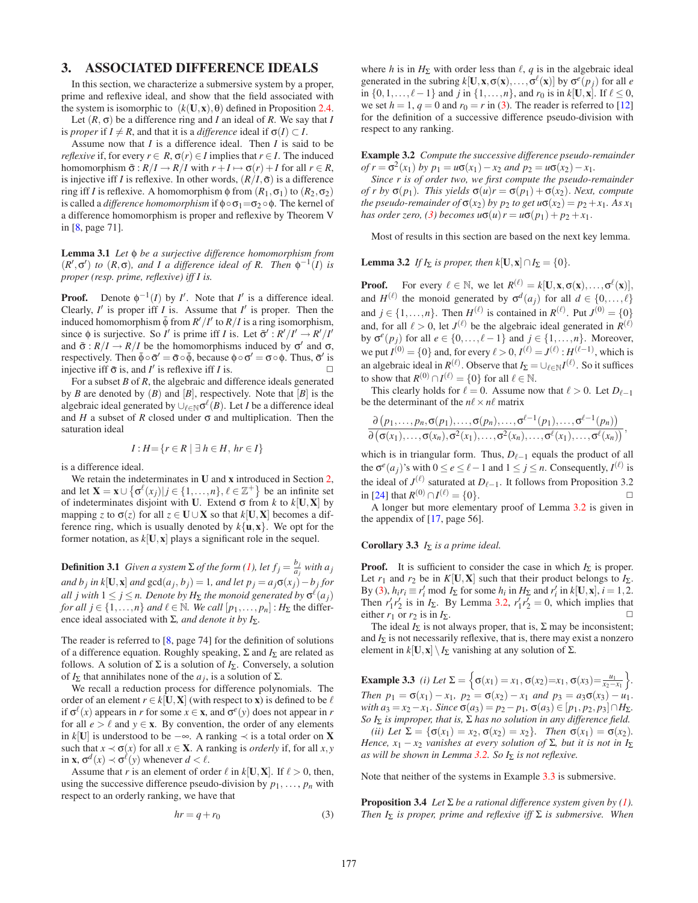# <span id="page-2-0"></span>**3. ASSOCIATED DIFFERENCE IDEALS**

In this section, we characterize a submersive system by a proper, prime and reflexive ideal, and show that the field associated with the system is isomorphic to  $(k(\mathbf{U}, \mathbf{x}), \theta)$  defined in Proposition [2.4.](#page-1-6)

Let  $(R, \sigma)$  be a difference ring and *I* an ideal of *R*. We say that *I* is *proper* if  $I \neq R$ , and that it is a *difference* ideal if  $\sigma(I) \subset I$ .

Assume now that *I* is a difference ideal. Then *I* is said to be *reflexive* if, for every  $r \in R$ ,  $\sigma(r) \in I$  implies that  $r \in I$ . The induced homomorphism  $\bar{\sigma}: R/I \to R/I$  with  $r + I \mapsto \sigma(r) + I$  for all  $r \in R$ , is injective iff *I* is reflexive. In other words,  $(R/I, \bar{\sigma})$  is a difference ring iff *I* is reflexive. A homomorphism φ from  $(R_1, σ_1)$  to  $(R_2, σ_2)$ is called a *difference homomorphism* if  $\phi \circ \sigma_1 = \sigma_2 \circ \phi$ . The kernel of a difference homomorphism is proper and reflexive by Theorem V in [\[8,](#page-7-12) page 71].

<span id="page-2-5"></span>**Lemma 3.1** *Let* φ *be a surjective difference homomorphism from*  $(R', \sigma')$  *to*  $(R, \sigma)$ *, and I a difference ideal of R. Then*  $\phi^{-1}(I)$  *is proper (resp. prime, reflexive) iff I is.*

**Proof.** Denote  $\phi^{-1}(I)$  by *I'*. Note that *I'* is a difference ideal. Clearly,  $I'$  is proper iff  $I$  is. Assume that  $I'$  is proper. Then the induced homomorphism  $\bar{\phi}$  from  $R'/I'$  to  $R/I$  is a ring isomorphism, since  $\phi$  is surjective. So *I'* is prime iff *I* is. Let  $\bar{\sigma}' : R'/I' \to R'/I'$ and  $\bar{\sigma}$ :  $R/I \rightarrow R/I$  be the homomorphisms induced by  $\sigma'$  and  $\sigma$ , respectively. Then  $\bar{\phi} \circ \bar{\sigma}' = \bar{\sigma} \circ \bar{\phi}$ , because  $\phi \circ \sigma' = \sigma \circ \phi$ . Thus,  $\bar{\sigma}'$  is injective iff  $\bar{\sigma}$  is, and *I'* is reflexive iff *I* is.  $\Box$ 

For a subset *B* of *R*, the algebraic and difference ideals generated by *B* are denoted by  $(B)$  and  $[B]$ , respectively. Note that  $[B]$  is the algebraic ideal generated by  $\cup_{\ell \in \mathbb{N}} \sigma^{\ell}(B)$ . Let *I* be a difference ideal and  $H$  a subset of  $R$  closed under  $\sigma$  and multiplication. Then the saturation ideal

$$
I: H = \{ r \in R \mid \exists h \in H, hr \in I \}
$$

is a difference ideal.

We retain the indeterminates in **U** and **x** introduced in Section [2,](#page-1-0) and let  $\mathbf{X} = \mathbf{x} \cup \{ \sigma^{\ell}(x_j) | j \in \{1, ..., n\}, \ell \in \mathbb{Z}^+ \}$  be an infinite set of indeterminates disjoint with **U**. Extend  $\sigma$  from *k* to  $k[\mathbf{U}, \mathbf{X}]$  by mapping *z* to  $\sigma(z)$  for all  $z \in U \cup X$  so that  $k[U, X]$  becomes a difference ring, which is usually denoted by  $k\{\mathbf{u}, \mathbf{x}\}\$ . We opt for the former notation, as  $k[\mathbf{U}, \mathbf{x}]$  plays a significant role in the sequel.

**Definition 3.1** *Given a system*  $\Sigma$  *of the form* [\(1\)](#page-1-1), let  $f_j = \frac{b_j}{a_j}$  with  $a_j$ *and*  $b_j$  *in*  $k[\mathbf{U}, \mathbf{x}]$  *and*  $\gcd(a_j, b_j) = 1$ *, and let*  $p_j = a_j \sigma(x_j) - b_j$  *for*  $\mathit{all}\ j$  with  $1\leq j\leq n.$  Denote by  $H_{\Sigma}$  the monoid generated by  $\sigma^{\ell}(a_j)$ *for all*  $j \in \{1, ..., n\}$  *and*  $\ell \in \mathbb{N}$ . *We call*  $[p_1, ..., p_n]$  :  $H_{\Sigma}$  the difference ideal associated with Σ*, and denote it by I*Σ*.*

The reader is referred to [\[8,](#page-7-12) page 74] for the definition of solutions of a difference equation. Roughly speaking, Σ and *I*<sup>Σ</sup> are related as follows. A solution of  $\Sigma$  is a solution of  $I_{\Sigma}$ . Conversely, a solution of  $I_{\Sigma}$  that annihilates none of the *a<sub>i</sub>*, is a solution of Σ.

We recall a reduction process for difference polynomials. The order of an element  $r \in k[\mathbf{U}, \mathbf{X}]$  (with respect to **x**) is defined to be  $\ell$ if  $\sigma^{\ell}(x)$  appears in *r* for some  $x \in \mathbf{x}$ , and  $\sigma^{\ell}(y)$  does not appear in *r* for all  $e > \ell$  and  $y \in \mathbf{x}$ . By convention, the order of any elements in *k*[**U**] is understood to be −∞. A ranking ≺ is a total order on **X** such that  $x \prec \sigma(x)$  for all  $x \in \mathbf{X}$ . A ranking is *orderly* if, for all  $x, y$ in **x**,  $\sigma^d(x) \prec \sigma^{\ell}(y)$  whenever  $d < \ell$ .

<span id="page-2-1"></span>Assume that *r* is an element of order  $\ell$  in  $k[\mathbf{U}, \mathbf{X}]$ . If  $\ell > 0$ , then, using the successive difference pseudo-division by  $p_1, \ldots, p_n$  with respect to an orderly ranking, we have that

$$
hr = q + r_0 \tag{3}
$$

where *h* is in  $H_{\Sigma}$  with order less than  $\ell$ , *q* is in the algebraic ideal generated in the subring  $k[\mathbf{U}, \mathbf{x}, \sigma(\mathbf{x}), \dots, \sigma^{\ell}(\mathbf{x})]$  by  $\sigma^e(p_j)$  for all *e* in  $\{0, 1, \ldots, \ell - 1\}$  and *j* in  $\{1, \ldots, n\}$ , and *r*<sub>0</sub> is in *k*[**U**,**x**]. If  $\ell \le 0$ , we set  $h = 1$ ,  $q = 0$  and  $r_0 = r$  in [\(3\)](#page-2-1). The reader is referred to [\[12\]](#page-7-16) for the definition of a successive difference pseudo-division with respect to any ranking.

**Example 3.2** *Compute the successive difference pseudo-remainder*  $of r = \sigma^2(x_1)$  *by*  $p_1 = u\sigma(x_1) - x_2$  *and*  $p_2 = u\sigma(x_2) - x_1$ .

*Since r is of order two, we first compute the pseudo-remainder of r by*  $\sigma(p_1)$ *. This yields*  $\sigma(u)r = \sigma(p_1) + \sigma(x_2)$ *. Next, compute the pseudo-remainder of*  $\sigma(x_2)$  *by p<sub>2</sub> to get*  $u\sigma(x_2) = p_2 + x_1$ *. As x<sub>1</sub> has order zero,* [\(3\)](#page-2-1) *becomes*  $u\sigma(u) = u\sigma(p_1) + p_2 + x_1$ .

<span id="page-2-2"></span>Most of results in this section are based on the next key lemma.

**Lemma 3.2** *If*  $I_{\Sigma}$  *is proper, then*  $k[\mathbf{U}, \mathbf{x}] \cap I_{\Sigma} = \{0\}.$ 

**Proof.** For every  $\ell \in \mathbb{N}$ , we let  $R^{(\ell)} = k[\mathbf{U}, \mathbf{x}, \sigma(\mathbf{x}), \dots, \sigma^{\ell}(\mathbf{x})],$ and  $H^{(\ell)}$  the monoid generated by  $\sigma^d(a_j)$  for all  $d \in \{0, \ldots, \ell\}$ and  $j \in \{1, \ldots, n\}$ . Then  $H^{(\ell)}$  is contained in  $R^{(\ell)}$ . Put  $J^{(0)} = \{0\}$ and, for all  $\ell > 0$ , let  $J^{(\ell)}$  be the algebraic ideal generated in  $R^{(\ell)}$ by  $\sigma^e(p_j)$  for all  $e \in \{0, \ldots, \ell-1\}$  and  $j \in \{1, \ldots, n\}$ . Moreover, we put  $I^{(0)} = \{0\}$  and, for every  $\ell > 0$ ,  $I^{(\ell)} = J^{(\ell)} : H^{(\ell-1)}$ , which is an algebraic ideal in  $R^{(\ell)}$ . Observe that  $I_{\Sigma} = \cup_{\ell \in \mathbb{N}} I^{(\ell)}$ . So it suffices to show that  $R^{(0)} \cap I^{(\ell)} = \{0\}$  for all  $\ell \in \mathbb{N}$ .

This clearly holds for  $\ell = 0$ . Assume now that  $\ell > 0$ . Let  $D_{\ell-1}$ be the determinant of the  $n\ell \times n\ell$  matrix

$$
\frac{\partial (p_1,\ldots,p_n,\sigma(p_1),\ldots,\sigma(p_n),\ldots,\sigma^{\ell-1}(p_1),\ldots,\sigma^{\ell-1}(p_n))}{\partial (\sigma(x_1),\ldots,\sigma(x_n),\sigma^2(x_1),\ldots,\sigma^2(x_n),\ldots,\sigma^{\ell}(x_1),\ldots,\sigma^{\ell}(x_n))},
$$

which is in triangular form. Thus,  $D_{\ell-1}$  equals the product of all the  $\sigma^e(a_j)$ 's with  $0 \le e \le \ell - 1$  and  $1 \le j \le n$ . Consequently,  $I^{(\ell)}$  is the ideal of  $J^{(\ell)}$  saturated at  $D_{\ell-1}$ . It follows from Proposition 3.2 in [\[24\]](#page-7-17) that  $R^{(0)} ∩ I^{(\ell)} = \{0\}.$   $□$ 

<span id="page-2-6"></span>A longer but more elementary proof of Lemma [3.2](#page-2-2) is given in the appendix of [\[17,](#page-7-18) page 56].

#### **Corollary 3.3** *I*<sup>Σ</sup> *is a prime ideal.*

**Proof.** It is sufficient to consider the case in which  $I_{\Sigma}$  is proper. Let  $r_1$  and  $r_2$  be in  $K[\mathbf{U}, \mathbf{X}]$  such that their product belongs to  $I_{\Sigma}$ . By [\(3\)](#page-2-1),  $h_i r_i \equiv r'_i \mod I_{\Sigma}$  for some  $h_i$  in  $H_{\Sigma}$  and  $r'_i$  in  $k[\mathbf{U}, \mathbf{x}]$ ,  $i = 1, 2$ . Then  $r'_1 r'_2$  is in  $I_{\Sigma}$ . By Lemma [3.2,](#page-2-2)  $r'_1 r'_2 = 0$ , which implies that either  $r_1$  or  $r_2$  is in  $I_{\Sigma}$ .

The ideal  $I_{\Sigma}$  is not always proper, that is,  $\Sigma$  may be inconsistent; and  $I_{\Sigma}$  is not necessarily reflexive, that is, there may exist a nonzero element in  $k[\mathbf{U}, \mathbf{x}] \setminus I_{\Sigma}$  vanishing at any solution of  $\Sigma$ .

<span id="page-2-3"></span>**Example 3.3** *(i)* Let  $\Sigma = \left\{ \sigma(x_1) = x_1, \sigma(x_2) = x_1, \sigma(x_3) = \frac{u_1}{x_2 - x_1} \right\}$  *. Then*  $p_1 = \sigma(x_1) - x_1$ ,  $p_2 = \sigma(x_2) - x_1$  *and*  $p_3 = a_3\sigma(x_3) - u_1$ .  $$ *So I*<sup>Σ</sup> *is improper, that is,* Σ *has no solution in any difference field. (ii)* Let  $\Sigma = {\sigma(x_1) = x_2, \sigma(x_2) = x_2}$ *. Then*  $\sigma(x_1) = \sigma(x_2)$ *. Hence, x*<sub>1</sub> − *x*<sub>2</sub> *vanishes at every solution of*  $\Sigma$ *, but it is not in*  $I_{\Sigma}$ *as will be shown in Lemma [3.2.](#page-2-2) So I*<sup>Σ</sup> *is not reflexive.*

<span id="page-2-4"></span>Note that neither of the systems in Example [3.3](#page-2-3) is submersive.

**Proposition 3.4** *Let*  $\Sigma$  *be a rational difference system given by [\(1\)](#page-1-1). Then I*<sup>Σ</sup> *is proper, prime and reflexive iff* Σ *is submersive. When*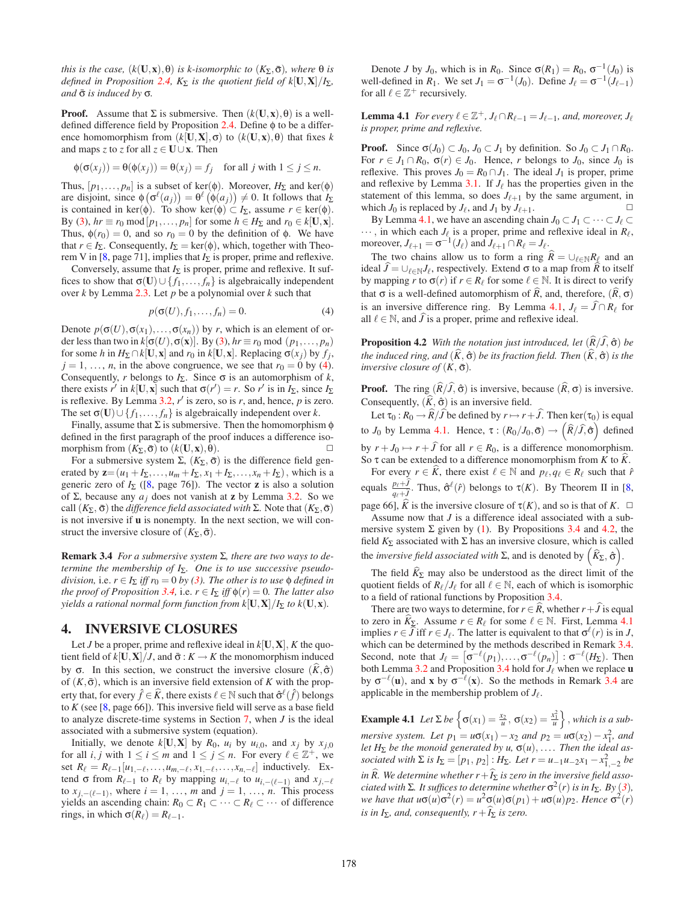*this is the case,*  $(k(\mathbf{U}, \mathbf{x}), \theta)$  *is k-isomorphic to*  $(K_{\Sigma}, \bar{\sigma})$ *, where*  $\theta$  *is defined in Proposition* [2.4,](#page-1-6)  $K_{\Sigma}$  *is the quotient field of*  $k[\mathbf{U}, \mathbf{X}]/I_{\Sigma}$ , *and* σ¯ *is induced by* σ*.*

**Proof.** Assume that  $\Sigma$  is submersive. Then  $(k(\mathbf{U}, \mathbf{x}), \theta)$  is a welldefined difference field by Proposition [2.4.](#page-1-6) Define φ to be a difference homomorphism from  $(k[\mathbf{U}, \mathbf{X}], \sigma)$  to  $(k(\mathbf{U}, \mathbf{x}), \theta)$  that fixes *k* and maps *z* to *z* for all  $z \in U \cup x$ . Then

$$
\phi(\sigma(x_j)) = \theta(\phi(x_j)) = \theta(x_j) = f_j \quad \text{for all } j \text{ with } 1 \le j \le n.
$$

Thus,  $[p_1, \ldots, p_n]$  is a subset of ker( $\phi$ ). Moreover,  $H_{\Sigma}$  and ker( $\phi$ ) are disjoint, since  $\phi(\sigma^{\ell}(a_j)) = \theta^{\ell}(\phi(a_j)) \neq 0$ . It follows that  $I_{\Sigma}$ is contained in ker( $\phi$ ). To show ker( $\phi$ )  $\subset I_{\Sigma}$ , assume  $r \in \text{ker}(\phi)$ . By [\(3\)](#page-2-1),  $hr \equiv r_0 \mod[p_1, \ldots, p_n]$  for some  $h \in H_{\Sigma}$  and  $r_0 \in k[\mathbf{U}, \mathbf{x}]$ . Thus,  $\phi(r_0) = 0$ , and so  $r_0 = 0$  by the definition of  $\phi$ . We have that  $r \in I_{\Sigma}$ . Consequently,  $I_{\Sigma} = \text{ker}(\phi)$ , which, together with Theo-rem V in [\[8,](#page-7-12) page 71], implies that  $I_{\Sigma}$  is proper, prime and reflexive.

Conversely, assume that  $I_{\Sigma}$  is proper, prime and reflexive. It suffices to show that  $\sigma$ (**U**)∪{ $f_1$ ,..., $f_n$ } is algebraically independent over *k* by Lemma [2.3.](#page-1-5) Let *p* be a polynomial over *k* such that

$$
p(\sigma(U), f_1, \dots, f_n) = 0. \tag{4}
$$

<span id="page-3-1"></span>Denote  $p(\sigma(U), \sigma(x_1),..., \sigma(x_n))$  by *r*, which is an element of order less than two in  $k[\sigma(U), \sigma(\mathbf{x})]$ . By [\(3\)](#page-2-1),  $hr \equiv r_0 \text{ mod } (p_1, \ldots, p_n)$ for some *h* in  $H_{\Sigma} \cap k[\mathbf{U}, \mathbf{x}]$  and  $r_0$  in  $k[\mathbf{U}, \mathbf{x}]$ . Replacing  $\sigma(x_i)$  by  $f_i$ ,  $j = 1, \ldots, n$ , in the above congruence, we see that  $r_0 = 0$  by [\(4\)](#page-3-1). Consequently, *r* belongs to  $I_{\Sigma}$ . Since  $\sigma$  is an automorphism of *k*, there exists *r'* in  $k[\mathbf{U}, \mathbf{x}]$  such that  $\sigma(r') = r$ . So *r'* is in *I*<sub>Σ</sub>, since *I*<sub>Σ</sub> is reflexive. By Lemma [3.2,](#page-2-2)  $r'$  is zero, so is  $r$ , and, hence,  $p$  is zero. The set  $\sigma$ (**U**)∪{ $f_1$ ,...,  $f_n$ } is algebraically independent over *k*.

Finally, assume that  $\Sigma$  is submersive. Then the homomorphism  $\phi$ defined in the first paragraph of the proof induces a difference isomorphism from  $(K_{\Sigma}, \bar{\sigma})$  to  $(k(\mathbf{U}, \mathbf{x}), \theta)$ .

For a submersive system Σ,  $(K_{\Sigma}, \bar{\sigma})$  is the difference field generated by  $z = (u_1 + I_\Sigma, \dots, u_m + I_\Sigma, x_1 + I_\Sigma, \dots, x_n + I_\Sigma)$ , which is a generic zero of  $I_{\Sigma}$  ([\[8,](#page-7-12) page 76]). The vector **z** is also a solution of Σ, because any *aj* does not vanish at **z** by Lemma [3.2.](#page-2-2) So we call  $(K_{\Sigma}, \bar{\sigma})$  the *difference field associated with* Σ. Note that  $(K_{\Sigma}, \bar{\sigma})$ is not inversive if **u** is nonempty. In the next section, we will construct the inversive closure of  $(K_{\Sigma}, \bar{\sigma})$ .

<span id="page-3-4"></span>**Remark 3.4** *For a submersive system* Σ*, there are two ways to determine the membership of I<sub>Σ</sub>. One is to use successive pseudodivision,* i.e.  $r \in I_{\Sigma}$  *iff*  $r_0 = 0$  *by [\(3\)](#page-2-1). The other is to use*  $\phi$  *defined in the proof of Proposition* [3.4,](#page-2-4) i.e.  $r \in I_{\Sigma}$  *iff*  $\phi(r) = 0$ *. The latter also yields a rational normal form function from*  $k[\mathbf{U}, \mathbf{X}]/I_{\Sigma}$  *to*  $k(\mathbf{U}, \mathbf{x})$ *<i>.* 

# <span id="page-3-0"></span>**4. INVERSIVE CLOSURES**

Let *J* be a proper, prime and reflexive ideal in  $k[\mathbf{U}, \mathbf{X}]$ , *K* the quotient field of  $k[\mathbf{U}, \mathbf{X}]/J$ , and  $\bar{\sigma}: K \to K$  the monomorphism induced by σ. In this section, we construct the inversive closure  $(\hat{K}, \hat{\sigma})$ of  $(K, \bar{\sigma})$ , which is an inversive field extension of *K* with the property that, for every  $\hat{f} \in \hat{K}$ , there exists  $\ell \in \mathbb{N}$  such that  $\hat{\sigma}^{\ell}(\hat{f})$  belongs to  $K$  (see [\[8,](#page-7-12) page 66]). This inversive field will serve as a base field to analyze discrete-time systems in Section [7,](#page-6-0) when *J* is the ideal associated with a submersive system (equation).

Initially, we denote  $k[\mathbf{U}, \mathbf{X}]$  by  $R_0$ ,  $u_i$  by  $u_{i,0}$ , and  $x_i$  by  $x_{i,0}$ for all *i*, *j* with  $1 \le i \le m$  and  $1 \le j \le n$ . For every  $\ell \in \mathbb{Z}^+$ , we set  $R_{\ell} = R_{\ell-1}[u_{1,-\ell},...,u_{m,-\ell},x_{1,-\ell},...,x_{n,-\ell}]$  inductively. Extend  $\sigma$  from  $R_{\ell-1}$  to  $R_{\ell}$  by mapping  $u_{i,-\ell}$  to  $u_{i,-(\ell-1)}$  and  $x_{j,-\ell}$ to  $x_{j,-(\ell-1)}$ , where  $i = 1, \ldots, m$  and  $j = 1, \ldots, n$ . This process yields an ascending chain:  $R_0$  ⊂  $R_1$  ⊂  $\cdots$  ⊂  $R_\ell$  ⊂  $\cdots$  of difference rings, in which  $\sigma(R_\ell) = R_{\ell-1}$ .

<span id="page-3-2"></span>Denote *J* by  $J_0$ , which is in  $R_0$ . Since  $\sigma(R_1) = R_0$ ,  $\sigma^{-1}(J_0)$  is well-defined in  $R_1$ . We set  $J_1 = \sigma^{-1}(J_0)$ . Define  $J_\ell = \sigma^{-1}(J_{\ell-1})$ for all  $\ell \in \mathbb{Z}^+$  recursively.

**Lemma 4.1** *For every*  $\ell \in \mathbb{Z}^+$ ,  $J_{\ell} \cap R_{\ell-1} = J_{\ell-1}$ , and, moreover,  $J_{\ell}$ *is proper, prime and reflexive.*

**Proof.** Since  $\sigma(J_0) \subset J_0, J_0 \subset J_1$  by definition. So  $J_0 \subset J_1 \cap R_0$ . For  $r \in J_1 \cap R_0$ ,  $\sigma(r) \in J_0$ . Hence, *r* belongs to  $J_0$ , since  $J_0$  is reflexive. This proves  $J_0 = R_0 \cap J_1$ . The ideal  $J_1$  is proper, prime and reflexive by Lemma  $3.1$ . If  $J_{\ell}$  has the properties given in the statement of this lemma, so does  $J_{\ell+1}$  by the same argument, in which  $J_0$  is replaced by  $J_\ell$ , and  $J_1$  by  $J_{\ell+1}$ .

By Lemma [4.1,](#page-3-2) we have an ascending chain  $J_0 \subset J_1 \subset \cdots \subset J_\ell \subset$  $\cdots$ , in which each  $J_{\ell}$  is a proper, prime and reflexive ideal in  $R_{\ell}$ , moreover,  $J_{\ell+1} = \sigma^{-1}(J_{\ell})$  and  $J_{\ell+1} \cap R_{\ell} = J_{\ell}$ .

The two chains allow us to form a ring  $R = \bigcup_{\ell \in \mathbb{N}} R_{\ell}$  and an ideal  $J = \bigcup_{\ell \in \mathbb{N}} J_{\ell}$ , respectively. Extend  $\sigma$  to a map from *R* to itself by mapping *r* to  $\sigma(r)$  if  $r \in R_\ell$  for some  $\ell \in \mathbb{N}$ . It is direct to verify that σ is a well-defined automorphism of  $\hat{R}$ , and, therefore,  $(\hat{R}, \sigma)$ is an inversive difference ring. By Lemma [4.1,](#page-3-2)  $J_{\ell} = J \cap R_{\ell}$  for all  $\ell \in \mathbb{N}$ , and *J* is a proper, prime and reflexive ideal.

<span id="page-3-3"></span>**Proposition 4.2** *With the notation just introduced, let*  $(\hat{R}/\hat{J}, \hat{\sigma})$  *be the induced ring, and*  $(\widehat{K}, \widehat{\sigma})$  *be its fraction field. Then*  $(\widehat{K}, \widehat{\sigma})$  *is the inversive closure of*  $(K, \bar{\sigma})$ *.* 

**Proof.** The ring  $(R/J, \hat{\sigma})$  is inversive, because  $(R, \sigma)$  is inversive. Consequently,  $(\widehat{K}, \widehat{\sigma})$  is an inversive field.

Let  $\tau_0 : R_0 \to R/J$  be defined by  $r \mapsto r + J$ . Then ker $(\tau_0)$  is equal to *J*<sup>0</sup> by Lemma [4.1.](#page-3-2) Hence,  $\tau : (R_0 / J_0, \bar{\sigma}) \to (\hat{R}/\hat{J}, \hat{\sigma})$  defined by  $r + J_0 \mapsto r + \hat{J}$  for all  $r \in R_0$ , is a difference monomorphism. So  $\tau$  can be extended to a difference monomorphism from *K* to *K*.

For every  $r \in K$ , there exist  $\ell \in \mathbb{N}$  and  $p_{\ell}, q_{\ell} \in R_{\ell}$  such that  $\hat{r}$ equals  $\frac{p_{\ell}+J}{q_{\ell}+J}$ . Thus,  $\hat{\sigma}^{\ell}(\hat{r})$  belongs to  $\tau(K)$ . By Theorem II in [\[8,](#page-7-12)

page 66],  $\hat{K}$  is the inversive closure of  $\tau(K)$ , and so is that of  $K$ .  $\Box$ Assume now that *J* is a difference ideal associated with a submersive system  $\Sigma$  given by [\(1\)](#page-1-1). By Propositions [3.4](#page-2-4) and [4.2,](#page-3-3) the field  $K_{\Sigma}$  associated with  $\Sigma$  has an inversive closure, which is called the *inversive field associated with*  $\Sigma$ , and is denoted by  $(\widehat{K}_{\Sigma}, \widehat{\sigma})$ .

The field  $\widehat{K}_{\Sigma}$  may also be understood as the direct limit of the quotient fields of  $R_{\ell}/J_{\ell}$  for all  $\ell \in \mathbb{N}$ , each of which is isomorphic to a field of rational functions by Proposition [3.4.](#page-2-4)

There are two ways to determine, for  $r \in R$ , whether  $r + J$  is equal to zero in  $K_{\Sigma}$ . Assume  $r \in R_{\ell}$  for some  $\ell \in \mathbb{N}$ . First, Lemma [4.1](#page-3-2) implies  $r \in \widehat{J}$  iff  $r \in J_{\ell}$ . The latter is equivalent to that  $\sigma^{\ell}(r)$  is in *J*, which can be determined by the methods described in Remark [3.4.](#page-3-4) Second, note that  $J_{\ell} = \left[ \sigma^{-\ell}(p_1), \ldots, \sigma^{-\ell}(p_n) \right] : \sigma^{-\ell}(H_{\Sigma})$ . Then both Lemma [3.2](#page-2-2) and Proposition [3.4](#page-2-4) hold for  $J_{\ell}$  when we replace **u** by  $\sigma^{-\ell}(\mathbf{u})$ , and **x** by  $\sigma^{-\ell}(\mathbf{x})$ . So the methods in Remark [3.4](#page-3-4) are applicable in the membership problem of  $J_{\ell}$ .

**Example 4.1** *Let*  $\Sigma$  *be*  $\left\{ \sigma(x_1) = \frac{x_2}{u}, \sigma(x_2) = \frac{x_1^2}{u} \right\}$ , *which is a submersive system. Let*  $p_1 = u\sigma(x_1) - x_2$  *and*  $p_2 = u\sigma(x_2) - x_1^2$ *, and let*  $H_{\Sigma}$  *be the monoid generated by u,*  $\sigma(u)$ *, .... Then the ideal associated with*  $\Sigma$  *is*  $I_{\Sigma} = [p_1, p_2]$  :  $H_{\Sigma}$ *. Let*  $r = u_{-1}u_{-2}x_1 - x_{1,-2}^2$  *be in R*. We determine whether  $r + I_{\Sigma}$  is zero in the inversive field asso*ciated with*  $\Sigma$ *. It suffices to determine whether*  $\sigma^2(r)$  *is in*  $I_{\Sigma}$ *. By* ([3](#page-2-1))*, we have that*  $u\sigma(u)\sigma^2(r) = u^2\sigma(u)\sigma(p_1) + u\sigma(u)p_2$ . *Hence*  $\sigma^2(r)$ *is in I*<sub> $>$ </sub>, and, consequently,  $r + I_{\Sigma}$  *is zero.*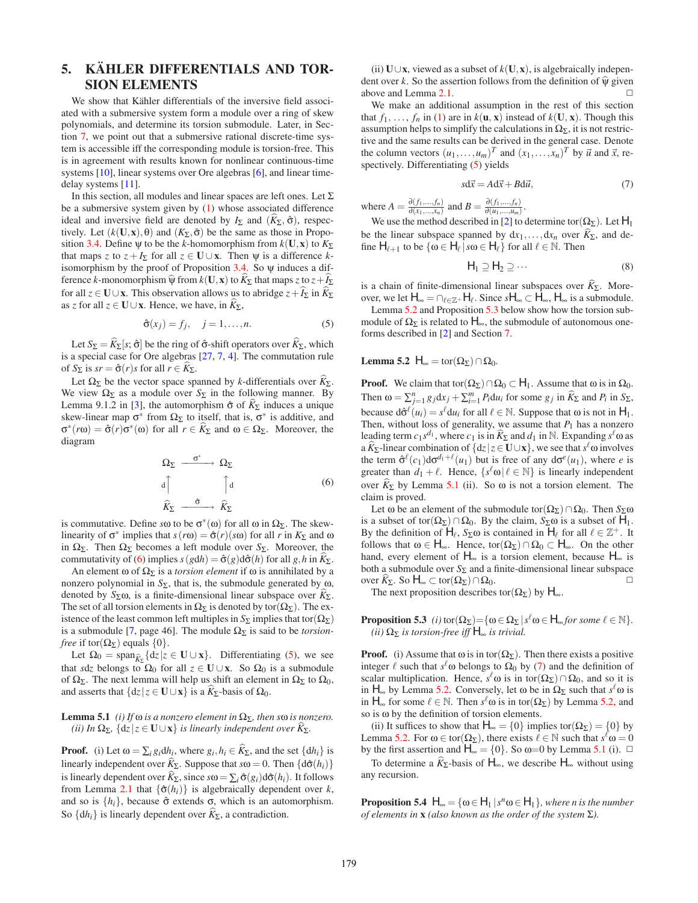# <span id="page-4-0"></span>**5. KÄHLER DIFFERENTIALS AND TOR-SION ELEMENTS**

We show that Kähler differentials of the inversive field associated with a submersive system form a module over a ring of skew polynomials, and determine its torsion submodule. Later, in Section [7,](#page-6-0) we point out that a submersive rational discrete-time system is accessible iff the corresponding module is torsion-free. This is in agreement with results known for nonlinear continuous-time systems [\[10\]](#page-7-11), linear systems over Ore algebras [\[6\]](#page-7-19), and linear timedelay systems [\[11\]](#page-7-20).

In this section, all modules and linear spaces are left ones. Let  $\Sigma$ be a submersive system given by [\(1\)](#page-1-1) whose associated difference ideal and inversive field are denoted by  $I_{\Sigma}$  and  $(\widehat{K}_{\Sigma}, \widehat{\sigma})$ , respectively. Let  $(k(\mathbf{U}, \mathbf{x}), \theta)$  and  $(K_{\Sigma}, \bar{\sigma})$  be the same as those in Propo-sition [3.4.](#page-2-4) Define  $\psi$  to be the *k*-homomorphism from  $k(\mathbf{U}, \mathbf{x})$  to  $K_{\Sigma}$ that maps *z* to  $z + I_2$  for all  $z \in U \cup x$ . Then w is a difference *k*isomorphism by the proof of Proposition [3.4.](#page-2-4) So ψ induces a difference *k*-monomorphism  $\hat{\psi}$  from  $k(\mathbf{U}, \mathbf{x})$  to  $K_{\Sigma}$  that maps *z* to  $z + I_{\Sigma}$ for all  $z \in U \cup x$ . This observation allows us to abridge  $z + I_{\Sigma}$  in  $K_{\Sigma}$ as *z* for all  $z \in U \cup x$ . Hence, we have, in  $K_{\Sigma}$ ,

$$
\hat{\sigma}(x_j) = f_j, \quad j = 1, \dots, n. \tag{5}
$$

<span id="page-4-2"></span>Let  $S_{\Sigma} = \widehat{K}_{\Sigma}[s; \hat{\sigma}]$  be the ring of  $\hat{\sigma}$ -shift operators over  $\widehat{K}_{\Sigma}$ , which is a special case for Ore algebras [\[27,](#page-7-21) [7,](#page-7-22) [4\]](#page-7-23). The commutation rule of  $S_{\Sigma}$  is  $sr = \hat{\sigma}(r)s$  for all  $r \in \widehat{K}_{\Sigma}$ .

Let  $\Omega_{\Sigma}$  be the vector space spanned by *k*-differentials over  $\hat{K}_{\Sigma}$ . We view  $\Omega_{\Sigma}$  as a module over  $S_{\Sigma}$  in the following manner. By Lemma 9.1.2 in [\[3\]](#page-7-15), the automorphism  $\hat{\sigma}$  of  $K_{\Sigma}$  induces a unique skew-linear map  $\sigma^*$  from  $\Omega_{\Sigma}$  to itself, that is,  $\sigma^*$  is additive, and  $σ<sup>*</sup>(rω) = \hat{σ}(r)σ<sup>*</sup>(ω)$  for all  $r ∈ K_{\Sigma}$  and ω ∈ Ω<sub>Σ</sub>. Moreover, the diagram

$$
\Omega_{\Sigma} \xrightarrow{\sigma^*} \Omega_{\Sigma}
$$
\n
$$
\downarrow \uparrow \qquad \qquad \uparrow \downarrow \qquad \qquad (6)
$$
\n
$$
\widehat{K}_{\Sigma} \xrightarrow{\hat{\sigma}} \widehat{K}_{\Sigma}
$$

<span id="page-4-1"></span>is commutative. Define *s*ω to be  $\sigma^*(\omega)$  for all ω in  $\Omega_{\Sigma}$ . The skewlinearity of  $\sigma^*$  implies that  $s(rω) = \hat{\sigma}(r)(sω)$  for all *r* in  $K_{\Sigma}$  and ω in  $\Omega_{\Sigma}$ . Then  $\Omega_{\Sigma}$  becomes a left module over *S*<sub>Σ</sub>. Moreover, the commutativity of [\(6\)](#page-4-1) implies  $s(gdh) = \hat{\sigma}(g)d\hat{\sigma}(h)$  for all  $g, h$  in  $\hat{K}_{\Sigma}$ .

An element  $\omega$  of  $\Omega_{\Sigma}$  is a *torsion element* if  $\omega$  is annihilated by a nonzero polynomial in  $S_{\Sigma}$ , that is, the submodule generated by ω, denoted by  $S_{\Sigma}\omega$ , is a finite-dimensional linear subspace over  $K_{\Sigma}$ . The set of all torsion elements in  $\Omega_{\Sigma}$  is denoted by tor( $\Omega_{\Sigma}$ ). The existence of the least common left multiples in  $S_{\Sigma}$  implies that tor( $\Omega_{\Sigma}$ ) is a submodule [\[7,](#page-7-22) page 46]. The module  $\Omega_{\Sigma}$  is said to be *torsionfree* if tor( $\Omega_{\Sigma}$ ) equals {0}.

Let  $\Omega_0 = \text{span}_{\hat{K}_{\Sigma}} \{dz \mid z \in \mathbf{U} \cup \mathbf{x}\}.$  Differentiating [\(5\)](#page-4-2), we see that *s*d*z* belongs to  $\Omega_0$  for all  $z \in U \cup x$ . So  $\Omega_0$  is a submodule of  $\Omega_{\Sigma}$ . The next lemma will help us shift an element in  $\Omega_{\Sigma}$  to  $\Omega_{0}$ , and asserts that  $\{dz \mid z \in \mathbf{U} \cup \mathbf{x}\}$  is a  $K_{\Sigma}$ -basis of  $\Omega_0$ .

#### <span id="page-4-5"></span>**Lemma 5.1** *(i) If*  $\omega$  *is a nonzero element in*  $\Omega_{\Sigma}$ *, then s* $\omega$  *is nonzero. (ii)* In Ω<sub>Σ</sub>,  $\{dz \mid z \in \mathbf{U} \cup \mathbf{x}\}$  *is linearly independent over*  $K_{\Sigma}$ *.*

**Proof.** (i) Let  $\omega = \sum_i g_i dh_i$ , where  $g_i, h_i \in \hat{K}_{\Sigma}$ , and the set  $\{dh_i\}$  is linearly independent over  $\hat{K}_{\Sigma}$ . Suppose that  $s\omega = 0$ . Then  $\{d\hat{\sigma}(h_i)\}$ is linearly dependent over  $\widehat{K}_{\Sigma}$ , since  $s\omega = \sum_i \widehat{\sigma}(g_i) d\widehat{\sigma}(h_i)$ . It follows from Lemma [2.1](#page-1-2) that  $\{\hat{\sigma}(h_i)\}\$ is algebraically dependent over *k*, and so is  $\{h_i\}$ , because  $\hat{\sigma}$  extends  $\sigma$ , which is an automorphism. So  $\{dh_i\}$  is linearly dependent over  $\hat{K}_{\Sigma}$ , a contradiction.

(ii) **U**∪**x**, viewed as a subset of *k*(**U**,**x**), is algebraically independent over *k*. So the assertion follows from the definition of  $\hat{\psi}$  given above and Lemma [2.1.](#page-1-2)

We make an additional assumption in the rest of this section that  $f_1, \ldots, f_n$  in [\(1\)](#page-1-1) are in  $k(\mathbf{u}, \mathbf{x})$  instead of  $k(\mathbf{U}, \mathbf{x})$ . Though this assumption helps to simplify the calculations in  $\Omega_{\Sigma}$ , it is not restrictive and the same results can be derived in the general case. Denote the column vectors  $(u_1, \ldots, u_m)^T$  and  $(x_1, \ldots, x_n)^T$  by  $\vec{u}$  and  $\vec{x}$ , respectively. Differentiating [\(5\)](#page-4-2) yields

$$
s\mathrm{d}\vec{x} = A\mathrm{d}\vec{x} + B\mathrm{d}\vec{u},\tag{7}
$$

<span id="page-4-6"></span>where  $A = \frac{\partial (f_1, \ldots, f_n)}{\partial (x_1, \ldots, x_n)}$  and  $B = \frac{\partial (f_1, \ldots, f_n)}{\partial (u_1, \ldots, u_m)}$ .

We use the method described in [\[2\]](#page-7-4) to determine tor( $\Omega_{\Sigma}$ ). Let  $H_1$ be the linear subspace spanned by  $dx_1, \ldots, dx_n$  over  $K_{\Sigma}$ , and define  $H_{\ell+1}$  to be  $\{\omega \in H_{\ell} \,|\, s\omega \in H_{\ell}\}$  for all  $\ell \in \mathbb{N}$ . Then

$$
H_1 \supseteq H_2 \supseteq \cdots \tag{8}
$$

<span id="page-4-7"></span>is a chain of finite-dimensional linear subspaces over  $\widehat{K}_{\Sigma}$ . Moreover, we let  $H_{\infty} = \cap_{\ell \in \mathbb{Z}^+} H_{\ell}.$  Since  $sH_{\infty} \subset H_{\infty}, H_{\infty}$  is a submodule.

<span id="page-4-3"></span>Lemma [5.2](#page-4-3) and Proposition [5.3](#page-4-4) below show how the torsion submodule of  $\Omega_{\Sigma}$  is related to  $H_{\infty}$ , the submodule of autonomous oneforms described in [\[2\]](#page-7-4) and Section [7.](#page-6-0)

#### **Lemma 5.2**  $H_{\infty} = \text{tor}(\Omega_{\Sigma}) \cap \Omega_0$ .

**Proof.** We claim that tor( $\Omega_{\Sigma}$ ) ∩  $\Omega_0 \subset H_1$ . Assume that  $\omega$  is in  $\Omega_0$ . Then  $\omega = \sum_{j=1}^{n} g_j dx_j + \sum_{i=1}^{m} P_i du_i$  for some  $g_j$  in  $\widehat{K}_{\Sigma}$  and  $P_i$  in  $S_{\Sigma}$ , because  $d\hat{\sigma}^{\ell}(u_i) = s^{\ell} du_i$  for all  $\ell \in \mathbb{N}$ . Suppose that  $\omega$  is not in  $H_1$ . Then, without loss of generality, we assume that  $P_1$  has a nonzero leading term  $c_1 s^{d_1}$ , where  $c_1$  is in  $\widehat{K}_{\Sigma}$  and  $d_1$  in N. Expanding  $s^{\ell} \omega$  as a  $\hat{K}_{\Sigma}$ -linear combination of  $\{dz | z \in \mathbf{U} \cup \mathbf{x}\}$ , we see that  $s^{\ell} \omega$  involves the term  $\hat{\sigma}^{\ell}(c_1) d\sigma^{d_1+\ell}(u_1)$  but is free of any  $d\sigma^{\ell}(u_1)$ , where *e* is greater than  $d_1 + \ell$ . Hence,  $\{s^{\ell} \omega | \ell \in \mathbb{N}\}\$ is linearly independent over  $\hat{K}_{\Sigma}$  by Lemma [5.1](#page-4-5) (ii). So  $\omega$  is not a torsion element. The claim is proved.

Let  $\omega$  be an element of the submodule tor( $\Omega_{\Sigma}$ ) ∩  $\Omega_{0}$ . Then  $S_{\Sigma}\omega$ is a subset of tor( $\Omega_{\Sigma}$ ) ∩  $\Omega_0$ . By the claim,  $S_{\Sigma}$  as a subset of  $H_1$ . By the definition of  $H_{\ell}$ ,  $S_{\Sigma}\omega$  is contained in  $H_{\ell}$  for all  $\ell \in \mathbb{Z}^{+}$ . It follows that  $\omega \in H_{\infty}$ . Hence, tor( $\Omega_{\Sigma}$ )  $\cap \Omega_{0} \subset H_{\infty}$ . On the other hand, every element of  $H_{\infty}$  is a torsion element, because  $H_{\infty}$  is both a submodule over  $S_{\Sigma}$  and a finite-dimensional linear subspace  $over K_{\Sigma}$ . So  $H_{\infty}$  ⊂ tor(Ω<sub>Σ</sub>) ∩ Ω<sub>0</sub>. <del></del>

<span id="page-4-4"></span>The next proposition describes tor( $\Omega_{\Sigma}$ ) by  $H_{\infty}$ .

#### **Proposition 5.3** *(i)* tor $(\Omega_{\Sigma}) = {\omega \in \Omega_{\Sigma} | s^{\ell} \omega \in H_{\infty}}$  for some  $\ell \in \mathbb{N}}$ .  $(iii)$   $\Omega_{\Sigma}$  *is torsion-free iff*  $H_{\infty}$  *is trivial.*

**Proof.** (i) Assume that  $\omega$  is in tor( $\Omega_{\Sigma}$ ). Then there exists a positive integer  $\ell$  such that  $s^{\ell}$  to belongs to  $\Omega_0$  by [\(7\)](#page-4-6) and the definition of scalar multiplication. Hence,  $s^{\ell} \omega$  is in tor( $\Omega_{\Sigma}$ ) ∩  $\Omega_0$ , and so it is in  $H_{\infty}$  by Lemma [5.2.](#page-4-3) Conversely, let  $\omega$  be in  $\Omega_{\Sigma}$  such that  $s^{\ell}\omega$  is in  $H_{\infty}$  for some  $\ell \in \mathbb{N}$ . Then  $s^{\ell} \omega$  is in tor( $\Omega_{\Sigma}$ ) by Lemma [5.2,](#page-4-3) and so is ω by the definition of torsion elements.

(ii) It suffices to show that  $H_{\infty} = \{0\}$  implies tor( $\Omega_{\Sigma}$ ) =  $\{0\}$  by Lemma [5.2.](#page-4-3) For  $\omega \in \text{tor}(\Omega_{\Sigma})$ , there exists  $\ell \in \mathbb{N}$  such that  $s^{\ell} \omega = 0$ by the first assertion and  $H_{\infty} = \{0\}$ . So  $\omega = 0$  by Lemma [5.1](#page-4-5) (i).  $\Box$ 

<span id="page-4-8"></span>To determine a  $\widehat{K}_{\Sigma}$ -basis of  $H_{\infty}$ , we describe  $H_{\infty}$  without using any recursion.

**Proposition 5.4**  $H_{\infty} = {\omega \in H_1 | s^n \omega \in H_1}$ *, where n is the number of elements in* **x** *(also known as the order of the system* Σ*).*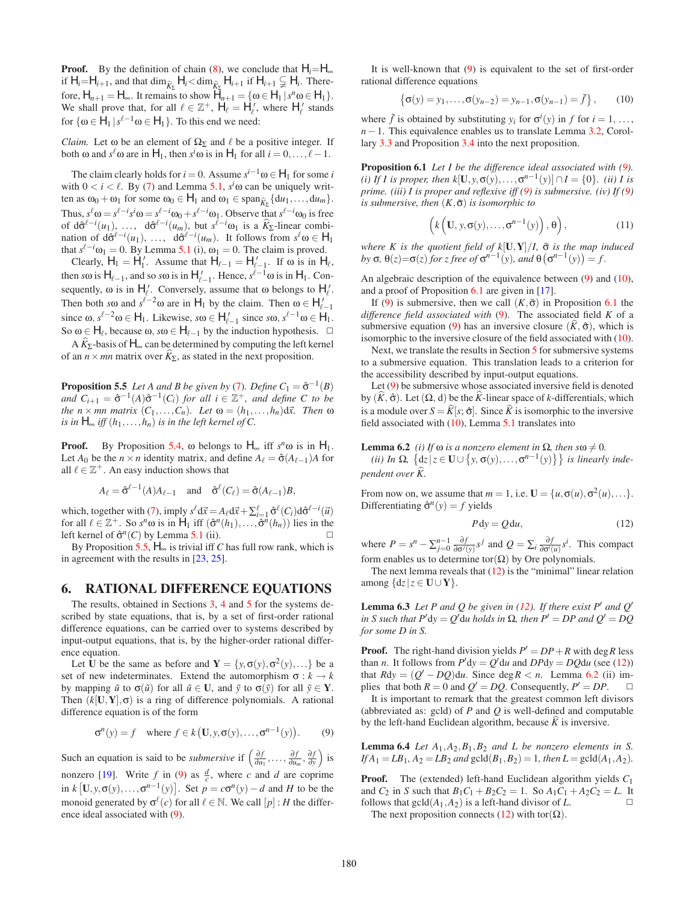**Proof.** By the definition of chain [\(8\)](#page-4-7), we conclude that  $H_i = H_\infty$ if  $H_i = H_{i+1}$ , and that  $\dim_{\widehat{K}_{\Sigma}} H_i < \dim_{\widehat{K}_{\Sigma}} H_{i+1}$  if  $H_{i+1} \subsetneq H_i$ . Therefore,  $H_{n+1} = H_{\infty}$ . It remains to show  $H_{n+1} = {\omega \in H_1 \mid s^n \omega \in H_1}.$ We shall prove that, for all  $\ell \in \mathbb{Z}^+$ ,  $H_{\ell} = H'_{\ell}$ , where  $H'_{\ell}$  stands for  $\{\omega \in H_1 \mid s^{\ell-1}\omega \in H_1\}$ . To this end we need:

*Claim.* Let  $\omega$  be an element of  $\Omega_{\Sigma}$  and  $\ell$  be a positive integer. If both  $\omega$  and  $s^{\ell} \omega$  are in  $H_1$ , then  $s^i \omega$  is in  $H_1$  for all  $i = 0, \ldots, \ell - 1$ .

The claim clearly holds for  $i = 0$ . Assume  $s^{i-1} \omega \in H_1$  for some *i* with  $0 < i < l$ . By [\(7\)](#page-4-6) and Lemma [5.1,](#page-4-5)  $s^i\omega$  can be uniquely written as  $\omega_0 + \omega_1$  for some  $\omega_0 \in H_1$  and  $\omega_1 \in \text{span}_{\widehat{K}_{\Sigma}} \{d u_1, \dots, d u_m\}.$ Thus,  $s^{\ell} \omega = s^{\ell - i} s^i \omega = s^{\ell - i} \omega_0 + s^{\ell - i} \omega_1$ . Observe that  $s^{\ell - i} \omega_0$  is free of  $d\hat{\sigma}^{\ell-i}(u_1), \ldots, d\hat{\sigma}^{\ell-i}(u_m)$ , but  $s^{\ell-i}\omega_1$  is a  $\hat{K}_{\Sigma}$ -linear combination of  $d\hat{\sigma}^{\ell-i}(u_1), \ldots, d\hat{\sigma}^{\ell-i}(u_m)$ . It follows from  $s^{\ell}\omega \in H_1$ that  $s^{\ell-i}\omega_1 = 0$ . By Lemma [5.1](#page-4-5) (i),  $\omega_1 = 0$ . The claim is proved.

Clearly,  $H_1 = H'_1$ . Assume that  $H_{\ell-1} = H'_{\ell-1}$ . If  $\omega$  is in  $H_{\ell}$ , then *s* $\omega$  is  $H_{\ell-1}$ , and so *s* $\omega$  is in  $H'_{\ell-1}$ . Hence,  $s^{\ell-1}\omega$  is in  $H_1$ . Consequently,  $\omega$  is in  $H'_{\ell}$ . Conversely, assume that  $\omega$  belongs to  $H'_{\ell}$ . Then both *s* $\omega$  and  $s^{\ell-2}\omega$  are in  $H_1$  by the claim. Then  $\omega \in H'_{\ell-1}$ since  $\omega$ ,  $s^{\ell-2}\omega \in H_1$ . Likewise,  $s\omega \in H'_{\ell-1}$  since  $s\omega$ ,  $s^{\ell-1}\omega \in H_1$ . So  $\omega \in H_{\ell}$ , because  $\omega$ ,  $s\omega \in H_{\ell-1}$  by the induction hypothesis.  $\Box$ 

A  $\widehat{K}_{\Sigma}$ -basis of  $H_{\infty}$  can be determined by computing the left kernel of an  $n \times mn$  matrix over  $\hat{K}_{\Sigma}$ , as stated in the next proposition.

**Proposition 5.5** *Let A and B be given by* [\(7\)](#page-4-6)*. Define*  $C_1 = \hat{\sigma}^{-1}(B)$ *and*  $C_{i+1} = \hat{\sigma}^{-1}(A)\hat{\sigma}^{-1}(C_i)$  *for all*  $i \in \mathbb{Z}^+$ *, and define* C to be *the*  $n \times mn$  *matrix*  $(C_1, \ldots, C_n)$ *. Let*  $\omega = (h_1, \ldots, h_n) d\vec{x}$ *. Then*  $\omega$ *is in*  $H_{\infty}$  *iff*  $(h_1, \ldots, h_n)$  *is in the left kernel of C.* 

**Proof.** By Proposition [5.4,](#page-4-8)  $\omega$  belongs to  $H_{\infty}$  iff  $s^n\omega$  is in  $H_1$ . Let  $A_0$  be the  $n \times n$  identity matrix, and define  $A_\ell = \hat{\sigma}(A_{\ell-1})A$  for all  $\ell \in \mathbb{Z}^+$ . An easy induction shows that

$$
A_{\ell} = \hat{\sigma}^{\ell-1}(A)A_{\ell-1} \quad \text{and} \quad \hat{\sigma}^{\ell}(C_{\ell}) = \hat{\sigma}(A_{\ell-1})B,
$$

which, together with [\(7\)](#page-4-6), imply  $s^{\ell} d\vec{x} = A_{\ell} d\vec{x} + \sum_{i=1}^{\ell} \hat{\sigma}^{\ell} (C_i) d\hat{\sigma}^{\ell-i} (\vec{u})$ for all  $\ell \in \mathbb{Z}^+$ . So  $s^n \omega$  is in  $H_1$  iff  $(\hat{\sigma}^n(h_1),...,\hat{\sigma}^n(h_n))$  lies in the left kernel of  $\hat{\sigma}^n(C)$  by Lemma [5.1](#page-4-5) (ii).

By Proposition [5.5,](#page-5-1)  $H_{\infty}$  is trivial iff *C* has full row rank, which is in agreement with the results in [\[23,](#page-7-24) [25\]](#page-7-25).

## <span id="page-5-0"></span>**6. RATIONAL DIFFERENCE EQUATIONS**

The results, obtained in Sections [3,](#page-2-0) [4](#page-3-0) and [5](#page-4-0) for the systems described by state equations, that is, by a set of first-order rational difference equations, can be carried over to systems described by input-output equations, that is, by the higher-order rational difference equation.

Let **U** be the same as before and  $Y = \{y, \sigma(y), \sigma^2(y), ...\}$  be a set of new indeterminates. Extend the automorphism  $\sigma : k \to k$ by mapping  $\tilde{u}$  to  $\sigma(\tilde{u})$  for all  $\tilde{u} \in U$ , and  $\tilde{y}$  to  $\sigma(\tilde{y})$  for all  $\tilde{y} \in Y$ . Then  $(k[\mathbf{U}, \mathbf{Y}], \sigma)$  is a ring of difference polynomials. A rational difference equation is of the form

$$
\sigma^{n}(y) = f \quad \text{where } f \in k(\mathbf{U}, y, \sigma(y), \dots, \sigma^{n-1}(y)). \tag{9}
$$

<span id="page-5-2"></span>Such an equation is said to be *submersive* if  $\left(\frac{\partial f}{\partial u_1}, \ldots, \frac{\partial f}{\partial u_m}, \frac{\partial f}{\partial y}\right)$  $\overline{\phantom{a}}$  is nonzero [\[19\]](#page-7-2). Write  $f$  in [\(9\)](#page-5-2) as  $\frac{d}{c}$ , where  $c$  and  $d$  are coprime in  $k$ [U,y,  $\sigma(y)$ ,..., $\sigma^{n-1}(y)$ ]. Set  $p = c\sigma^{n}(y) - d$  and *H* to be the monoid generated by  $\sigma^{\ell}(c)$  for all  $\ell \in \mathbb{N}$ . We call  $[p]$  : *H* the difference ideal associated with [\(9\)](#page-5-2).

It is well-known that [\(9\)](#page-5-2) is equivalent to the set of first-order rational difference equations

$$
\{\sigma(y) = y_1, \dots, \sigma(y_{n-2}) = y_{n-1}, \sigma(y_{n-1}) = \tilde{f}\}, \qquad (10)
$$

<span id="page-5-3"></span>where  $\tilde{f}$  is obtained by substituting  $y_i$  for  $\sigma^i(y)$  in  $f$  for  $i = 1, ...,$ *n*−1. This equivalence enables us to translate Lemma [3.2,](#page-2-2) Corollary [3.3](#page-2-6) and Proposition [3.4](#page-2-4) into the next proposition.

**Proposition 6.1** *Let I be the difference ideal associated with [\(9\)](#page-5-2). (i) If I is proper, then*  $k$ [**U**, *y*,  $\sigma$ (*y*),..., $\sigma$ <sup>*n*-1</sup>(*y*)]∩*I* = {0}*. (ii) I is prime. (iii) I is proper and reflexive iff [\(9\)](#page-5-2) is submersive. (iv) If [\(9\)](#page-5-2) is submersive, then*  $(K, \bar{\sigma})$  *is isomorphic to* 

<span id="page-5-4"></span>
$$
\left(k\left(\mathbf{U},\mathbf{y},\sigma(\mathbf{y}),\ldots,\sigma^{n-1}(\mathbf{y})\right),\theta\right),\tag{11}
$$

*where K is the quotient field of k*[**U**, **Y**]/*I*,  $\bar{\sigma}$  *is the map induced by* σ,  $\theta(z) = \sigma(z)$  *for z free of*  $\sigma^{n-1}(y)$ *, and*  $\theta(\sigma^{n-1}(y)) = f$ *.* 

An algebraic description of the equivalence between [\(9\)](#page-5-2) and [\(10\)](#page-5-3), and a proof of Proposition [6.1](#page-5-4) are given in [\[17\]](#page-7-18).

If [\(9\)](#page-5-2) is submersive, then we call  $(K,\bar{\sigma})$  in Proposition [6.1](#page-5-4) the *difference field associated with* [\(9\)](#page-5-2). The associated field *K* of a submersive equation [\(9\)](#page-5-2) has an inversive closure  $(K, \hat{\sigma})$ , which is isomorphic to the inversive closure of the field associated with [\(10\)](#page-5-3).

<span id="page-5-1"></span>Next, we translate the results in Section [5](#page-4-0) for submersive systems to a submersive equation. This translation leads to a criterion for the accessibility described by input-output equations.

Let [\(9\)](#page-5-2) be submersive whose associated inversive field is denoted by  $(K, \hat{\sigma})$ . Let  $(\Omega, d)$  be the  $K$ -linear space of *k*-differentials, which is a module over  $S = \hat{K}[s; \hat{\sigma}]$ . Since  $\hat{K}$  is isomorphic to the inversive field associated with  $(10)$ , Lemma [5.1](#page-4-5) translates into

## **Lemma 6.2** *(i) If*  $\omega$  *is a nonzero element in*  $\Omega$ *, then*  $s\omega \neq 0$ *.*

 $f$ *ii)* In Ω,  $\{dz \mid z \in \mathbf{U} \cup \{y, \sigma(y), \ldots, \sigma^{n-1}(y)\}\}$  is linearly inde*pendent over K.*

From now on, we assume that  $m = 1$ , i.e.  $\mathbf{U} = \{u, \sigma(u), \sigma^2(u), \ldots\}$ . Differentiating  $\hat{\sigma}^n(v) = f$  yields

<span id="page-5-6"></span>
$$
P dy = Q du, \t(12)
$$

<span id="page-5-5"></span>where  $P = s^n - \sum_{j=0}^{n-1} \frac{\partial f}{\partial \sigma^j(y)} s^j$  and  $Q = \sum_i \frac{\partial f}{\partial \sigma^i(u)} s^i$ . This compact form enables us to determine tor( $\Omega$ ) by Ore polynomials.

<span id="page-5-7"></span>The next lemma reveals that  $(12)$  is the "minimal" linear relation among  $\{dz \mid z \in \mathbf{U} \cup \mathbf{Y}\}.$ 

**Lemma 6.3** *Let P and Q be given in [\(12\)](#page-5-5). If there exist P' and Q'*  $\partial \Omega$  *in S such that*  $P'$ dy =  $Q'$ du *holds in*  $\Omega$ *, then*  $P' = DP$  *and*  $Q' = DQ$ *for some D in S.*

**Proof.** The right-hand division yields  $P' = DP + R$  with deg R less than *n*. It follows from  $P'dy = Q'du$  and  $DPdy = DQdu$  (see [\(12\)](#page-5-5)) that  $Rdy = (Q' - DQ)du$ . Since deg  $R < n$ . Lemma [6.2](#page-5-6) (ii) implies that both  $R = 0$  and  $Q' = DQ$ . Consequently,  $P' = DP$ .  $\Box$ 

It is important to remark that the greatest common left divisors (abbreviated as: gcld) of *P* and *Q* is well-defined and computable by the left-hand Euclidean algorithm, because  $\hat{K}$  is inversive.

<span id="page-5-8"></span>**Lemma 6.4** *Let*  $A_1$ , $A_2$ , $B_1$ , $B_2$  *and L be nonzero elements in S.*  $If A_1 = LB_1, A_2 = LB_2$  *and*  $gel(d(B_1, B_2) = 1$ *, then*  $L = \text{gcl}(A_1, A_2)$ *.* 

<span id="page-5-9"></span>**Proof.** The (extended) left-hand Euclidean algorithm yields *C*<sup>1</sup> and *C*<sub>2</sub> in *S* such that  $B_1C_1 + B_2C_2 = 1$ . So  $A_1C_1 + A_2C_2 = L$ . It follows that  $gcd(A_1, A_2)$  is a left-hand divisor of *L*.  $\Box$ The next proposition connects [\(12\)](#page-5-5) with tor $(\Omega)$ .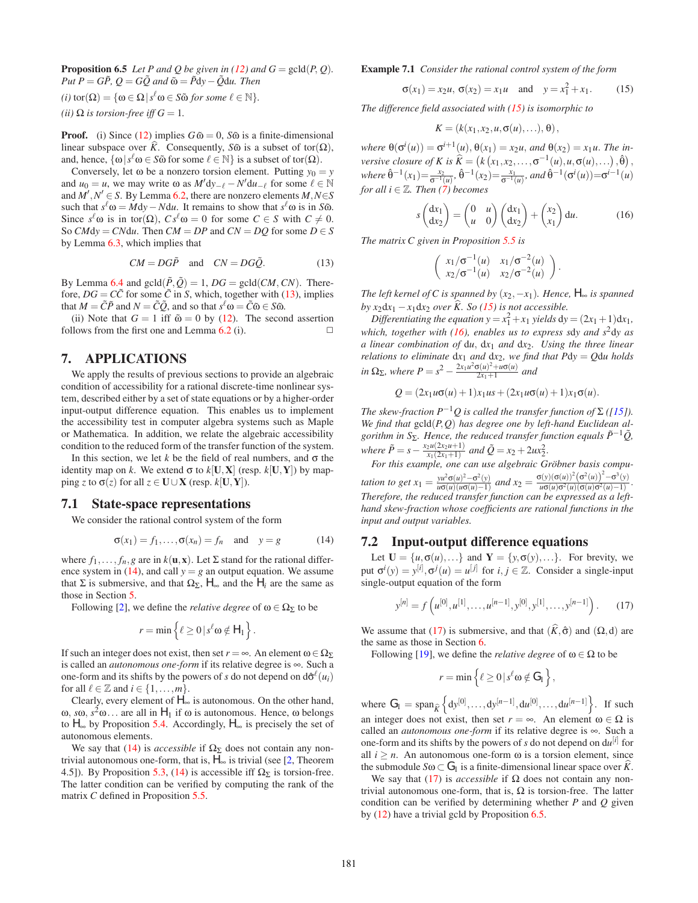**Proposition 6.5** *Let P and Q be given in [\(12\)](#page-5-5) and*  $G = \text{gcd}(P, Q)$ *.*  $Put P = G\tilde{P}, Q = G\tilde{Q}$  and  $\tilde{\omega} = \tilde{P}dy - \tilde{Q}du$ . Then  $(i)$  tor( $\Omega$ ) =  $\{ \omega \in \Omega \, | \, s^{\ell} \omega \in S \tilde{\omega} \text{ for some } \ell \in \mathbb{N} \}.$ *(ii)*  $\Omega$  *is torsion-free iff*  $G = 1$ *.* 

**Proof.** (i) Since [\(12\)](#page-5-5) implies  $G\tilde{\omega} = 0$ ,  $S\tilde{\omega}$  is a finite-dimensional linear subspace over *K*. Consequently, *S* $\tilde{\omega}$  is a subset of tor( $\Omega$ ), and, hence,  $\{\omega | s^{\ell} \omega \in S\tilde{\omega} \text{ for some } \ell \in \mathbb{N}\}\$ is a subset of tor $(\Omega)$ .

Conversely, let  $\omega$  be a nonzero torsion element. Putting  $y_0 = y$ and  $u_0 = u$ , we may write  $\omega$  as  $M' dy_{-\ell} - N' du_{-\ell}$  for some  $\ell \in \mathbb{N}$ and  $M', N' \in S$ . By Lemma [6.2,](#page-5-6) there are nonzero elements  $M, N \in S$ such that  $s^{\ell} \omega = M dy - N du$ . It remains to show that  $s^{\ell} \omega$  is in *S* $\tilde{\omega}$ . Since  $s^{\ell} \omega$  is in tor( $\Omega$ ),  $Cs^{\ell} \omega = 0$  for some  $C \in S$  with  $C \neq 0$ . So  $CMdy = CNdu$ . Then  $CM = DP$  and  $CN = DQ$  for some  $D \in S$ by Lemma [6.3,](#page-5-7) which implies that

$$
CM = DG\tilde{P}
$$
 and  $CN = DG\tilde{Q}$ . (13)

<span id="page-6-1"></span>By Lemma [6.4](#page-5-8) and  $gcd(\tilde{P}, \tilde{Q}) = 1$ ,  $DG = gcd(CM, CN)$ . Therefore,  $DG = C\tilde{C}$  for some  $\tilde{C}$  in *S*, which, together with [\(13\)](#page-6-1), implies that  $M = \tilde{C}\tilde{P}$  and  $N = \tilde{C}\tilde{Q}$ , and so that  $s^{\ell}\omega = \tilde{C}\tilde{\omega} \in S\tilde{\omega}$ .

(ii) Note that  $G = 1$  iff  $\tilde{\omega} = 0$  by [\(12\)](#page-5-5). The second assertion follows from the first one and Lemma  $6.2$  (i).  $\Box$ 

# <span id="page-6-0"></span>**7. APPLICATIONS**

We apply the results of previous sections to provide an algebraic condition of accessibility for a rational discrete-time nonlinear system, described either by a set of state equations or by a higher-order input-output difference equation. This enables us to implement the accessibility test in computer algebra systems such as Maple or Mathematica. In addition, we relate the algebraic accessibility condition to the reduced form of the transfer function of the system.

In this section, we let  $k$  be the field of real numbers, and  $\sigma$  the identity map on *k*. We extend  $\sigma$  to  $k[\mathbf{U}, \mathbf{X}]$  (resp.  $k[\mathbf{U}, \mathbf{Y}]$ ) by map- $\text{ping } z \text{ to } \sigma(z) \text{ for all } z \in \mathbf{U} \cup \mathbf{X} \text{ (resp. } k[\mathbf{U}, \mathbf{Y}]).$ 

#### **7.1 State-space representations**

We consider the rational control system of the form

$$
\sigma(x_1) = f_1, \dots, \sigma(x_n) = f_n \quad \text{and} \quad y = g \tag{14}
$$

<span id="page-6-2"></span>where  $f_1, \ldots, f_n, g$  are in  $k(\mathbf{u}, \mathbf{x})$ . Let  $\Sigma$  stand for the rational differ-ence system in [\(14\)](#page-6-2), and call  $y = g$  an output equation. We assume that  $\Sigma$  is submersive, and that  $\Omega_{\Sigma}$ ,  $H_{\infty}$  and the  $H_i$  are the same as those in Section [5.](#page-4-0)

Following [\[2\]](#page-7-4), we define the *relative degree* of  $\omega \in \Omega_{\Sigma}$  to be

$$
r=\min\left\{\ell\geq 0\,|\,s^{\ell}\omega\notin H_1\right\}.
$$

If such an integer does not exist, then set  $r = \infty$ . An element  $\omega \in \Omega_{\Sigma}$ is called an *autonomous one-form* if its relative degree is ∞. Such a one-form and its shifts by the powers of *s* do not depend on  $d\hat{\sigma}^{\ell}(u_i)$ for all  $l \in \mathbb{Z}$  and  $i \in \{1, \ldots, m\}.$ 

Clearly, every element of  $H_{\infty}$  is autonomous. On the other hand, ω,  $s\omega$ ,  $s^2\omega$ ... are all in  $H_1$  if ω is autonomous. Hence, ω belongs to  $H_∞$  by Proposition [5.4.](#page-4-8) Accordingly,  $H_∞$  is precisely the set of autonomous elements.

We say that [\(14\)](#page-6-2) is *accessible* if  $\Omega_{\Sigma}$  does not contain any nontrivial autonomous one-form, that is,  $H_{\infty}$  is trivial (see [\[2,](#page-7-4) Theorem 4.5]). By Proposition [5.3,](#page-4-4) [\(14\)](#page-6-2) is accessible iff  $\Omega_{\Sigma}$  is torsion-free. The latter condition can be verified by computing the rank of the matrix *C* defined in Proposition [5.5.](#page-5-1)

#### <span id="page-6-3"></span>**Example 7.1** *Consider the rational control system of the form*

$$
\sigma(x_1) = x_2 u, \sigma(x_2) = x_1 u
$$
 and  $y = x_1^2 + x_1$ . (15)

*The difference field associated with [\(15\)](#page-6-3) is isomorphic to*

$$
K = (k(x_1, x_2, u, \sigma(u), \ldots), \theta),
$$

*where*  $\theta(\sigma^i(u)) = \sigma^{i+1}(u), \theta(x_1) = x_2u$ , *and*  $\theta(x_2) = x_1u$ . *The inversive closure of K is*  $\widehat{K} = (k(x_1, x_2, \ldots, \sigma^{-1}(u), u, \sigma(u), \ldots), \widehat{\theta}),$  $where \ \hat{\theta}^{-1}(x_1) = \frac{x_2}{\sigma^{-1}(u)}, \ \hat{\theta}^{-1}(x_2) = \frac{x_1}{\sigma^{-1}(u)}, and \ \hat{\theta}^{-1}(\sigma^i(u)) = \sigma^{i-1}(u)$ *for all*  $i \in \mathbb{Z}$ *. Then*  $\overrightarrow{(7)}$  $\overrightarrow{(7)}$  $\overrightarrow{(7)}$  *becomes* 

$$
s\begin{pmatrix} dx_1 \\ dx_2 \end{pmatrix} = \begin{pmatrix} 0 & u \\ u & 0 \end{pmatrix} \begin{pmatrix} dx_1 \\ dx_2 \end{pmatrix} + \begin{pmatrix} x_2 \\ x_1 \end{pmatrix} du.
$$
 (16)

<span id="page-6-4"></span>*The matrix C given in Proposition [5.5](#page-5-1) is*

$$
\begin{pmatrix} x_1/\sigma^{-1}(u) & x_1/\sigma^{-2}(u) \\ x_2/\sigma^{-1}(u) & x_2/\sigma^{-2}(u) \end{pmatrix}.
$$

*The left kernel of C is spanned by*  $(x_2, -x_1)$ *. Hence,*  $H_{\infty}$  *is spanned by x*<sub>2</sub>d*x*<sub>1</sub> − *x*<sub>1</sub>d*x*<sub>2</sub> *over*  $\widehat{K}$ *. So* ([15\)](#page-6-3) *is not accessible.* 

*Differentiating the equation*  $y = x_1^2 + x_1$  *yields*  $dy = (2x_1 + 1)dx_1$ *, which, together with [\(16\)](#page-6-4), enables us to express s*d*y and s*2d*y as a linear combination of* d*u*, d*x*<sup>1</sup> *and* d*x*2*. Using the three linear relations to eliminate*  $dx_1$  *and*  $dx_2$ *, we find that*  $Pdy = Qdu$  *holds*  $\int \ln \Omega_{\Sigma}$ , where  $P = s^2 - \frac{2x_1u^2\sigma(u)^2 + u\sigma(u)}{2x_1 + 1}$  and

$$
Q = (2x_1u\sigma(u) + 1)x_1us + (2x_1u\sigma(u) + 1)x_1\sigma(u).
$$

*The skew-fraction*  $P^{-1}Q$  *is called the transfer function of*  $\Sigma$  ([\[15\]](#page-7-1)). *We find that* gcld(*P*,*Q*) *has degree one by left-hand Euclidean algorithm in*  $S_{\Sigma}$ *. Hence, the reduced transfer function equals*  $\tilde{P}^{-1}\tilde{Q}$ *, where*  $\tilde{P} = s - \frac{x_2 u (2x_2 u + 1)}{x_1 (2x_1 + 1)}$  *and*  $\tilde{Q} = x_2 + 2ux_2^2$ .

*For this example, one can use algebraic Gröbner basis compu*tation to get  $x_1 = \frac{yu^2 \sigma(u)^2 - \sigma^2(y)}{u \sigma(u)(u \sigma(u) - 1)}$  and  $x_2 = \frac{\sigma(y)(\sigma(u))^2 (\sigma^2(u))^2 - \sigma^3(y)}{u \sigma(u) \sigma^2(u)(\sigma(u) \sigma^2(u) - 1)}$ . *Therefore, the reduced transfer function can be expressed as a lefthand skew-fraction whose coefficients are rational functions in the input and output variables.*

# **7.2 Input-output difference equations**

Let  $\mathbf{U} = \{u, \sigma(u), \ldots\}$  and  $\mathbf{Y} = \{y, \sigma(y), \ldots\}$ . For brevity, we put  $\sigma^{i}(y) = y^{[i]}, \sigma^{j}(u) = u^{[j]}$  for  $i, j \in \mathbb{Z}$ . Consider a single-input single-output equation of the form

$$
y^{[n]} = f\left(u^{[0]}, u^{[1]}, \dots, u^{[n-1]}, y^{[0]}, y^{[1]}, \dots, y^{[n-1]}\right). \tag{17}
$$

<span id="page-6-5"></span>We assume that [\(17\)](#page-6-5) is submersive, and that  $(\widehat{K}, \widehat{\sigma})$  and  $(\Omega, d)$  are the same as those in Section [6.](#page-5-0)

Following [\[19\]](#page-7-2), we define the *relative degree* of  $\omega \in \Omega$  to be

$$
r=\min\left\{\ell\geq 0\,|\,s^{\ell}\omega\notin G_1\right\},\,
$$

where  $G_1 = \text{span}_{\hat{K}} \left\{ dy^{[0]}, \dots, dy^{[n-1]}, du^{[0]}, \dots, du^{[n-1]} \right\}$ . If such an integer does not exist, then set  $r = \infty$ . An element  $\omega \in \Omega$  is called an *autonomous one-form* if its relative degree is ∞. Such a one-form and its shifts by the powers of *s* do not depend on  $du^{[i]}$  for all  $i > n$ . An autonomous one-form  $\omega$  is a torsion element, since the submodule  $S\omega \subset G_1$  is a finite-dimensional linear space over *K*.

We say that  $(17)$  is *accessible* if  $\Omega$  does not contain any nontrivial autonomous one-form, that is,  $\Omega$  is torsion-free. The latter condition can be verified by determining whether *P* and *Q* given by [\(12\)](#page-5-5) have a trivial gcld by Proposition [6.5.](#page-5-9)